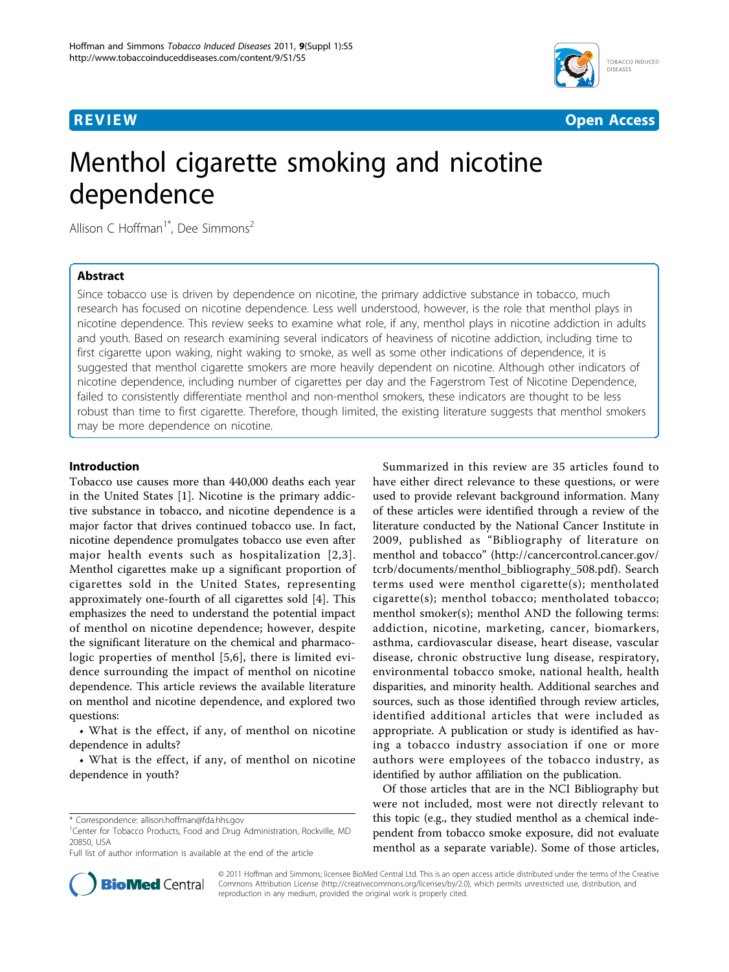



# Menthol cigarette smoking and nicotine dependence

Allison C Hoffman<sup>1\*</sup>, Dee Simmons<sup>2</sup>

# Abstract

Since tobacco use is driven by dependence on nicotine, the primary addictive substance in tobacco, much research has focused on nicotine dependence. Less well understood, however, is the role that menthol plays in nicotine dependence. This review seeks to examine what role, if any, menthol plays in nicotine addiction in adults and youth. Based on research examining several indicators of heaviness of nicotine addiction, including time to first cigarette upon waking, night waking to smoke, as well as some other indications of dependence, it is suggested that menthol cigarette smokers are more heavily dependent on nicotine. Although other indicators of nicotine dependence, including number of cigarettes per day and the Fagerstrom Test of Nicotine Dependence, failed to consistently differentiate menthol and non-menthol smokers, these indicators are thought to be less robust than time to first cigarette. Therefore, though limited, the existing literature suggests that menthol smokers may be more dependence on nicotine.

# Introduction

Tobacco use causes more than 440,000 deaths each year in the United States [\[1](#page-3-0)]. Nicotine is the primary addictive substance in tobacco, and nicotine dependence is a major factor that drives continued tobacco use. In fact, nicotine dependence promulgates tobacco use even after major health events such as hospitalization [[2,3\]](#page-3-0). Menthol cigarettes make up a significant proportion of cigarettes sold in the United States, representing approximately one-fourth of all cigarettes sold [\[4](#page-3-0)]. This emphasizes the need to understand the potential impact of menthol on nicotine dependence; however, despite the significant literature on the chemical and pharmacologic properties of menthol [[5,6](#page-3-0)], there is limited evidence surrounding the impact of menthol on nicotine dependence. This article reviews the available literature on menthol and nicotine dependence, and explored two questions:

• What is the effect, if any, of menthol on nicotine dependence in adults?

• What is the effect, if any, of menthol on nicotine dependence in youth?

Full list of author information is available at the end of the article

Summarized in this review are 35 articles found to have either direct relevance to these questions, or were used to provide relevant background information. Many of these articles were identified through a review of the literature conducted by the National Cancer Institute in 2009, published as "Bibliography of literature on menthol and tobacco" [\(http://cancercontrol.cancer.gov/](http://cancercontrol.cancer.gov/tcrb/documents/menthol_bibliography_508.pdf) [tcrb/documents/menthol\\_bibliography\\_508.pdf](http://cancercontrol.cancer.gov/tcrb/documents/menthol_bibliography_508.pdf)). Search terms used were menthol cigarette(s); mentholated cigarette(s); menthol tobacco; mentholated tobacco; menthol smoker(s); menthol AND the following terms: addiction, nicotine, marketing, cancer, biomarkers, asthma, cardiovascular disease, heart disease, vascular disease, chronic obstructive lung disease, respiratory, environmental tobacco smoke, national health, health disparities, and minority health. Additional searches and sources, such as those identified through review articles, identified additional articles that were included as appropriate. A publication or study is identified as having a tobacco industry association if one or more authors were employees of the tobacco industry, as identified by author affiliation on the publication.

Of those articles that are in the NCI Bibliography but were not included, most were not directly relevant to this topic (e.g., they studied menthol as a chemical independent from tobacco smoke exposure, did not evaluate menthol as a separate variable). Some of those articles,



© 2011 Hoffman and Simmons; licensee BioMed Central Ltd. This is an open access article distributed under the terms of the Creative Commons Attribution License [\(http://creativecommons.org/licenses/by/2.0](http://creativecommons.org/licenses/by/2.0)), which permits unrestricted use, distribution, and reproduction in any medium, provided the original work is properly cited.

<sup>\*</sup> Correspondence: [allison.hoffman@fda.hhs.gov](mailto:allison.hoffman@fda.hhs.gov)

<sup>&</sup>lt;sup>1</sup>Center for Tobacco Products, Food and Drug Administration, Rockville, MD 20850, USA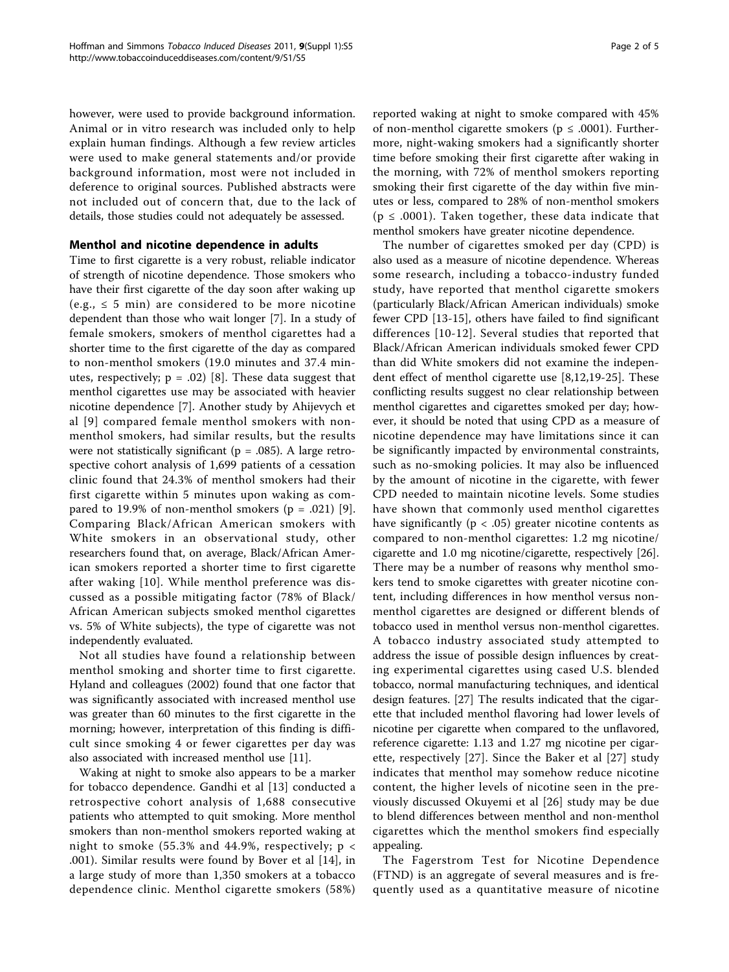however, were used to provide background information. Animal or in vitro research was included only to help explain human findings. Although a few review articles were used to make general statements and/or provide background information, most were not included in deference to original sources. Published abstracts were not included out of concern that, due to the lack of details, those studies could not adequately be assessed.

# Menthol and nicotine dependence in adults

Time to first cigarette is a very robust, reliable indicator of strength of nicotine dependence. Those smokers who have their first cigarette of the day soon after waking up  $(e.g., \leq 5$  min) are considered to be more nicotine dependent than those who wait longer [[7\]](#page-3-0). In a study of female smokers, smokers of menthol cigarettes had a shorter time to the first cigarette of the day as compared to non-menthol smokers (19.0 minutes and 37.4 minutes, respectively;  $p = .02$ ) [[8\]](#page-3-0). These data suggest that menthol cigarettes use may be associated with heavier nicotine dependence [[7\]](#page-3-0). Another study by Ahijevych et al [[9](#page-3-0)] compared female menthol smokers with nonmenthol smokers, had similar results, but the results were not statistically significant ( $p = .085$ ). A large retrospective cohort analysis of 1,699 patients of a cessation clinic found that 24.3% of menthol smokers had their first cigarette within 5 minutes upon waking as com-pared to 1[9](#page-3-0).9% of non-menthol smokers ( $p = .021$ ) [9]. Comparing Black/African American smokers with White smokers in an observational study, other researchers found that, on average, Black/African American smokers reported a shorter time to first cigarette after waking [\[10\]](#page-3-0). While menthol preference was discussed as a possible mitigating factor (78% of Black/ African American subjects smoked menthol cigarettes vs. 5% of White subjects), the type of cigarette was not independently evaluated.

Not all studies have found a relationship between menthol smoking and shorter time to first cigarette. Hyland and colleagues (2002) found that one factor that was significantly associated with increased menthol use was greater than 60 minutes to the first cigarette in the morning; however, interpretation of this finding is difficult since smoking 4 or fewer cigarettes per day was also associated with increased menthol use [\[11](#page-3-0)].

Waking at night to smoke also appears to be a marker for tobacco dependence. Gandhi et al [\[13](#page-3-0)] conducted a retrospective cohort analysis of 1,688 consecutive patients who attempted to quit smoking. More menthol smokers than non-menthol smokers reported waking at night to smoke (55.3% and 44.9%, respectively; p < .001). Similar results were found by Bover et al [[14\]](#page-3-0), in a large study of more than 1,350 smokers at a tobacco dependence clinic. Menthol cigarette smokers (58%) reported waking at night to smoke compared with 45% of non-menthol cigarette smokers ( $p \le .0001$ ). Furthermore, night-waking smokers had a significantly shorter time before smoking their first cigarette after waking in the morning, with 72% of menthol smokers reporting smoking their first cigarette of the day within five minutes or less, compared to 28% of non-menthol smokers ( $p \leq .0001$ ). Taken together, these data indicate that menthol smokers have greater nicotine dependence.

The number of cigarettes smoked per day (CPD) is also used as a measure of nicotine dependence. Whereas some research, including a tobacco-industry funded study, have reported that menthol cigarette smokers (particularly Black/African American individuals) smoke fewer CPD [\[13](#page-3-0)-[15\]](#page-3-0), others have failed to find significant differences [[10-12](#page-3-0)]. Several studies that reported that Black/African American individuals smoked fewer CPD than did White smokers did not examine the independent effect of menthol cigarette use [[8,12,19](#page-3-0)-[25\]](#page-4-0). These conflicting results suggest no clear relationship between menthol cigarettes and cigarettes smoked per day; however, it should be noted that using CPD as a measure of nicotine dependence may have limitations since it can be significantly impacted by environmental constraints, such as no-smoking policies. It may also be influenced by the amount of nicotine in the cigarette, with fewer CPD needed to maintain nicotine levels. Some studies have shown that commonly used menthol cigarettes have significantly ( $p < .05$ ) greater nicotine contents as compared to non-menthol cigarettes: 1.2 mg nicotine/ cigarette and 1.0 mg nicotine/cigarette, respectively [\[26](#page-4-0)]. There may be a number of reasons why menthol smokers tend to smoke cigarettes with greater nicotine content, including differences in how menthol versus nonmenthol cigarettes are designed or different blends of tobacco used in menthol versus non-menthol cigarettes. A tobacco industry associated study attempted to address the issue of possible design influences by creating experimental cigarettes using cased U.S. blended tobacco, normal manufacturing techniques, and identical design features. [\[27](#page-4-0)] The results indicated that the cigarette that included menthol flavoring had lower levels of nicotine per cigarette when compared to the unflavored, reference cigarette: 1.13 and 1.27 mg nicotine per cigarette, respectively [[27](#page-4-0)]. Since the Baker et al [[27](#page-4-0)] study indicates that menthol may somehow reduce nicotine content, the higher levels of nicotine seen in the previously discussed Okuyemi et al [[26\]](#page-4-0) study may be due to blend differences between menthol and non-menthol cigarettes which the menthol smokers find especially appealing.

The Fagerstrom Test for Nicotine Dependence (FTND) is an aggregate of several measures and is frequently used as a quantitative measure of nicotine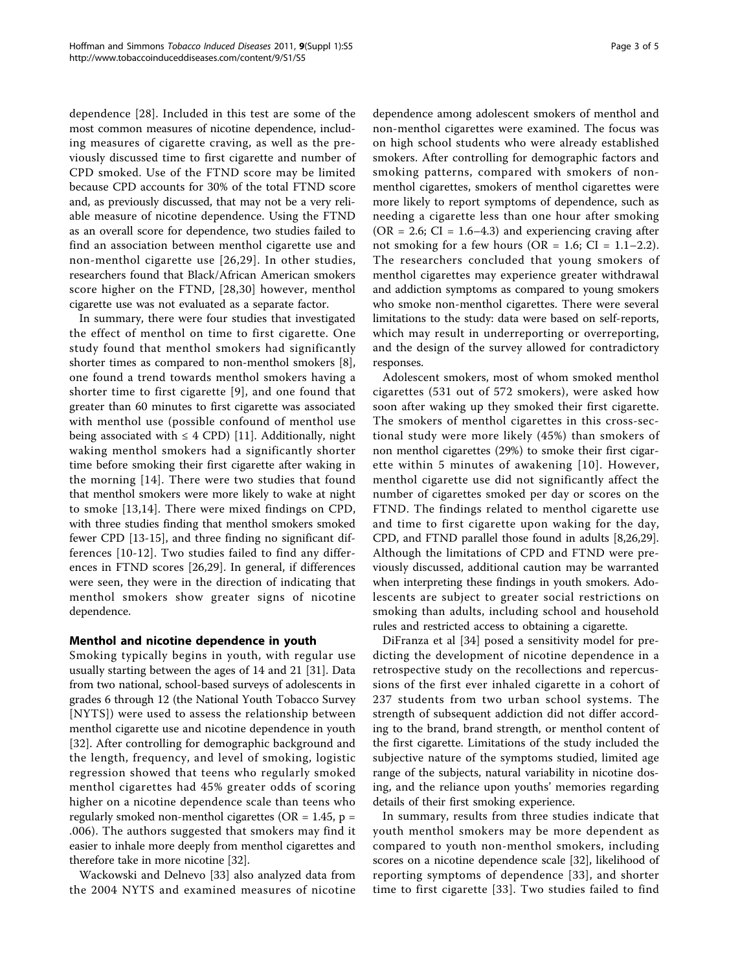dependence [[28\]](#page-4-0). Included in this test are some of the most common measures of nicotine dependence, including measures of cigarette craving, as well as the previously discussed time to first cigarette and number of CPD smoked. Use of the FTND score may be limited because CPD accounts for 30% of the total FTND score and, as previously discussed, that may not be a very reliable measure of nicotine dependence. Using the FTND as an overall score for dependence, two studies failed to find an association between menthol cigarette use and non-menthol cigarette use [[26,29\]](#page-4-0). In other studies, researchers found that Black/African American smokers score higher on the FTND, [[28,30\]](#page-4-0) however, menthol cigarette use was not evaluated as a separate factor.

In summary, there were four studies that investigated the effect of menthol on time to first cigarette. One study found that menthol smokers had significantly shorter times as compared to non-menthol smokers [\[8](#page-3-0)], one found a trend towards menthol smokers having a shorter time to first cigarette [[9\]](#page-3-0), and one found that greater than 60 minutes to first cigarette was associated with menthol use (possible confound of menthol use being associated with  $\leq 4$  CPD) [[11\]](#page-3-0). Additionally, night waking menthol smokers had a significantly shorter time before smoking their first cigarette after waking in the morning [[14](#page-3-0)]. There were two studies that found that menthol smokers were more likely to wake at night to smoke [[13,14\]](#page-3-0). There were mixed findings on CPD, with three studies finding that menthol smokers smoked fewer CPD [[13](#page-3-0)-[15\]](#page-3-0), and three finding no significant differences [\[10-12](#page-3-0)]. Two studies failed to find any differences in FTND scores [[26,29](#page-4-0)]. In general, if differences were seen, they were in the direction of indicating that menthol smokers show greater signs of nicotine dependence.

## Menthol and nicotine dependence in youth

Smoking typically begins in youth, with regular use usually starting between the ages of 14 and 21 [\[31](#page-4-0)]. Data from two national, school-based surveys of adolescents in grades 6 through 12 (the National Youth Tobacco Survey [NYTS]) were used to assess the relationship between menthol cigarette use and nicotine dependence in youth [[32\]](#page-4-0). After controlling for demographic background and the length, frequency, and level of smoking, logistic regression showed that teens who regularly smoked menthol cigarettes had 45% greater odds of scoring higher on a nicotine dependence scale than teens who regularly smoked non-menthol cigarettes ( $OR = 1.45$ ,  $p =$ .006). The authors suggested that smokers may find it easier to inhale more deeply from menthol cigarettes and therefore take in more nicotine [\[32\]](#page-4-0).

Wackowski and Delnevo [[33\]](#page-4-0) also analyzed data from the 2004 NYTS and examined measures of nicotine

dependence among adolescent smokers of menthol and non-menthol cigarettes were examined. The focus was on high school students who were already established smokers. After controlling for demographic factors and smoking patterns, compared with smokers of nonmenthol cigarettes, smokers of menthol cigarettes were more likely to report symptoms of dependence, such as needing a cigarette less than one hour after smoking  $(OR = 2.6; CI = 1.6–4.3)$  and experiencing craving after not smoking for a few hours (OR =  $1.6$ ; CI =  $1.1-2.2$ ). The researchers concluded that young smokers of menthol cigarettes may experience greater withdrawal and addiction symptoms as compared to young smokers who smoke non-menthol cigarettes. There were several limitations to the study: data were based on self-reports, which may result in underreporting or overreporting, and the design of the survey allowed for contradictory responses.

Adolescent smokers, most of whom smoked menthol cigarettes (531 out of 572 smokers), were asked how soon after waking up they smoked their first cigarette. The smokers of menthol cigarettes in this cross-sectional study were more likely (45%) than smokers of non menthol cigarettes (29%) to smoke their first cigarette within 5 minutes of awakening [[10](#page-3-0)]. However, menthol cigarette use did not significantly affect the number of cigarettes smoked per day or scores on the FTND. The findings related to menthol cigarette use and time to first cigarette upon waking for the day, CPD, and FTND parallel those found in adults [[8](#page-3-0),[26](#page-4-0),[29](#page-4-0)]. Although the limitations of CPD and FTND were previously discussed, additional caution may be warranted when interpreting these findings in youth smokers. Adolescents are subject to greater social restrictions on smoking than adults, including school and household rules and restricted access to obtaining a cigarette.

DiFranza et al [\[34](#page-4-0)] posed a sensitivity model for predicting the development of nicotine dependence in a retrospective study on the recollections and repercussions of the first ever inhaled cigarette in a cohort of 237 students from two urban school systems. The strength of subsequent addiction did not differ according to the brand, brand strength, or menthol content of the first cigarette. Limitations of the study included the subjective nature of the symptoms studied, limited age range of the subjects, natural variability in nicotine dosing, and the reliance upon youths' memories regarding details of their first smoking experience.

In summary, results from three studies indicate that youth menthol smokers may be more dependent as compared to youth non-menthol smokers, including scores on a nicotine dependence scale [[32](#page-4-0)], likelihood of reporting symptoms of dependence [[33](#page-4-0)], and shorter time to first cigarette [[33\]](#page-4-0). Two studies failed to find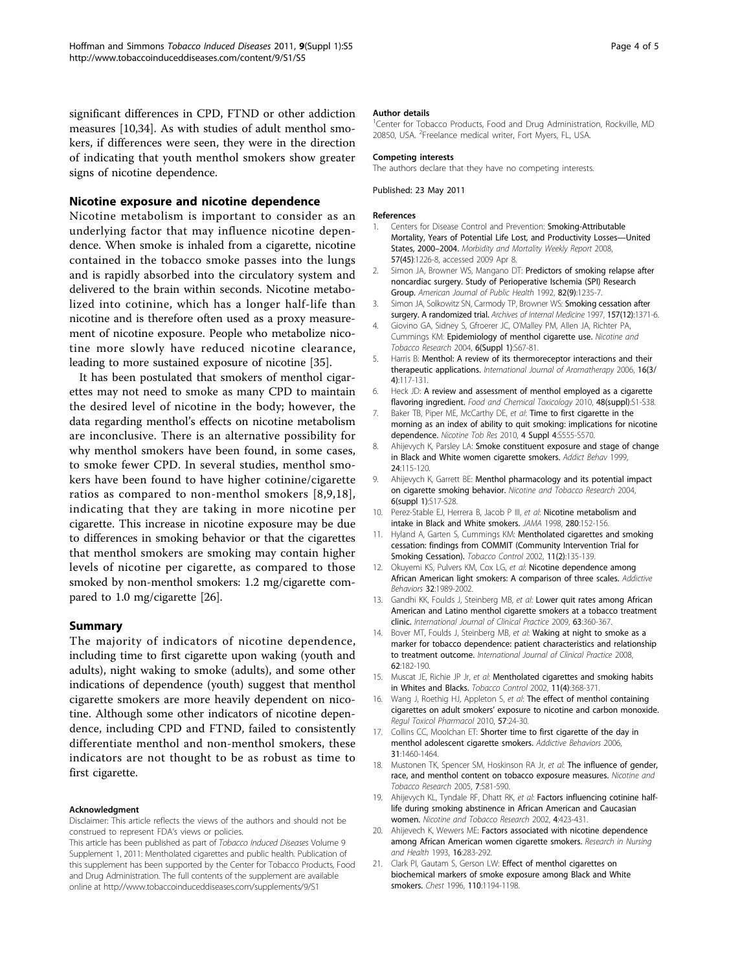<span id="page-3-0"></span>significant differences in CPD, FTND or other addiction measures [10,[34\]](#page-4-0). As with studies of adult menthol smokers, if differences were seen, they were in the direction of indicating that youth menthol smokers show greater signs of nicotine dependence.

# Nicotine exposure and nicotine dependence

Nicotine metabolism is important to consider as an underlying factor that may influence nicotine dependence. When smoke is inhaled from a cigarette, nicotine contained in the tobacco smoke passes into the lungs and is rapidly absorbed into the circulatory system and delivered to the brain within seconds. Nicotine metabolized into cotinine, which has a longer half-life than nicotine and is therefore often used as a proxy measurement of nicotine exposure. People who metabolize nicotine more slowly have reduced nicotine clearance, leading to more sustained exposure of nicotine [\[35](#page-4-0)].

It has been postulated that smokers of menthol cigarettes may not need to smoke as many CPD to maintain the desired level of nicotine in the body; however, the data regarding menthol's effects on nicotine metabolism are inconclusive. There is an alternative possibility for why menthol smokers have been found, in some cases, to smoke fewer CPD. In several studies, menthol smokers have been found to have higher cotinine/cigarette ratios as compared to non-menthol smokers [8,9,18], indicating that they are taking in more nicotine per cigarette. This increase in nicotine exposure may be due to differences in smoking behavior or that the cigarettes that menthol smokers are smoking may contain higher levels of nicotine per cigarette, as compared to those smoked by non-menthol smokers: 1.2 mg/cigarette compared to 1.0 mg/cigarette [[26\]](#page-4-0).

### Summary

The majority of indicators of nicotine dependence, including time to first cigarette upon waking (youth and adults), night waking to smoke (adults), and some other indications of dependence (youth) suggest that menthol cigarette smokers are more heavily dependent on nicotine. Although some other indicators of nicotine dependence, including CPD and FTND, failed to consistently differentiate menthol and non-menthol smokers, these indicators are not thought to be as robust as time to first cigarette.

#### Acknowledgment

Disclaimer: This article reflects the views of the authors and should not be construed to represent FDA's views or policies.

#### Author details

<sup>1</sup>Center for Tobacco Products, Food and Drug Administration, Rockville, MD 20850, USA. <sup>2</sup> Freelance medical writer, Fort Myers, FL, USA.

#### Competing interests

The authors declare that they have no competing interests.

Published: 23 May 2011

#### References

- 1. Centers for Disease Control and Prevention: [Smoking-Attributable](http://www.ncbi.nlm.nih.gov/pubmed/19008791?dopt=Abstract) [Mortality, Years of Potential Life Lost, and Productivity Losses](http://www.ncbi.nlm.nih.gov/pubmed/19008791?dopt=Abstract)—United [States, 2000](http://www.ncbi.nlm.nih.gov/pubmed/19008791?dopt=Abstract)-2004. Morbidity and Mortality Weekly Report 2008, 57(45):1226-8, accessed 2009 Apr 8.
- 2. Simon JA, Browner WS, Mangano DT: [Predictors of smoking relapse after](http://www.ncbi.nlm.nih.gov/pubmed/1503164?dopt=Abstract) [noncardiac surgery. Study of Perioperative Ischemia \(SPI\) Research](http://www.ncbi.nlm.nih.gov/pubmed/1503164?dopt=Abstract) [Group.](http://www.ncbi.nlm.nih.gov/pubmed/1503164?dopt=Abstract) American Journal of Public Health 1992, 82(9):1235-7.
- 3. Simon JA, Solkowitz SN, Carmody TP, Browner WS: [Smoking cessation after](http://www.ncbi.nlm.nih.gov/pubmed/9201012?dopt=Abstract) [surgery. A randomized trial.](http://www.ncbi.nlm.nih.gov/pubmed/9201012?dopt=Abstract) Archives of Internal Medicine 1997, 157(12):1371-6.
- 4. Giovino GA, Sidney S, Gfroerer JC, O'Malley PM, Allen JA, Richter PA, Cummings KM: [Epidemiology of menthol cigarette use.](http://www.ncbi.nlm.nih.gov/pubmed/14982710?dopt=Abstract) Nicotine and Tobacco Research 2004, 6(Suppl 1):S67-81.
- 5. Harris B: Menthol: A review of its thermoreceptor interactions and their therapeutic applications. International Journal of Aromatherapy 2006, 16(3/ 4):117-131.
- 6. Heck JD: [A review and assessment of menthol employed as a cigarette](http://www.ncbi.nlm.nih.gov/pubmed/20113860?dopt=Abstract) [flavoring ingredient.](http://www.ncbi.nlm.nih.gov/pubmed/20113860?dopt=Abstract) Food and Chemical Toxicology 2010, 48(suppl):S1-S38.
- 7. Baker TB, Piper ME, McCarthy DE, et al: Time to first cigarette in the morning as an index of ability to quit smoking: implications for nicotine dependence. Nicotine Tob Res 2010, 4 Suppl 4:S555-S570.
- 8. Ahijevych K, Parsley LA: [Smoke constituent exposure and stage of change](http://www.ncbi.nlm.nih.gov/pubmed/10189978?dopt=Abstract) [in Black and White women cigarette smokers.](http://www.ncbi.nlm.nih.gov/pubmed/10189978?dopt=Abstract) Addict Behav 1999, 24:115-120.
- 9. Ahijevych K, Garrett BE: [Menthol pharmacology and its potential impact](http://www.ncbi.nlm.nih.gov/pubmed/14982706?dopt=Abstract) [on cigarette smoking behavior.](http://www.ncbi.nlm.nih.gov/pubmed/14982706?dopt=Abstract) Nicotine and Tobacco Research 2004, 6(suppl 1):S17-S28.
- 10. Perez-Stable EJ, Herrera B, Jacob P III, et al: [Nicotine metabolism and](http://www.ncbi.nlm.nih.gov/pubmed/9669788?dopt=Abstract) [intake in Black and White smokers.](http://www.ncbi.nlm.nih.gov/pubmed/9669788?dopt=Abstract) JAMA 1998, 280:152-156.
- 11. Hyland A, Garten S, Cummings KM: [Mentholated cigarettes and smoking](http://www.ncbi.nlm.nih.gov/pubmed/12035007?dopt=Abstract) [cessation: findings from COMMIT \(Community Intervention Trial for](http://www.ncbi.nlm.nih.gov/pubmed/12035007?dopt=Abstract) [Smoking Cessation\).](http://www.ncbi.nlm.nih.gov/pubmed/12035007?dopt=Abstract) Tobacco Control 2002, 11(2):135-139.
- 12. Okuyemi KS, Pulvers KM, Cox LG, et al: [Nicotine dependence among](http://www.ncbi.nlm.nih.gov/pubmed/17307303?dopt=Abstract) [African American light smokers: A comparison of three scales.](http://www.ncbi.nlm.nih.gov/pubmed/17307303?dopt=Abstract) Addictive Behaviors 32:1989-2002.
- 13. Gandhi KK, Foulds J, Steinberg MB, et al: [Lower quit rates among African](http://www.ncbi.nlm.nih.gov/pubmed/19222622?dopt=Abstract) [American and Latino menthol cigarette smokers at a tobacco treatment](http://www.ncbi.nlm.nih.gov/pubmed/19222622?dopt=Abstract) [clinic.](http://www.ncbi.nlm.nih.gov/pubmed/19222622?dopt=Abstract) International Journal of Clinical Practice 2009, 63:360-367.
- 14. Bover MT, Foulds J, Steinberg MB, et al: [Waking at night to smoke as a](http://www.ncbi.nlm.nih.gov/pubmed/18199277?dopt=Abstract) [marker for tobacco dependence: patient characteristics and relationship](http://www.ncbi.nlm.nih.gov/pubmed/18199277?dopt=Abstract) [to treatment outcome.](http://www.ncbi.nlm.nih.gov/pubmed/18199277?dopt=Abstract) International Journal of Clinical Practice 2008. 62:182-190.
- 15. Muscat JE, Richie JP Jr, et al: [Mentholated cigarettes and smoking habits](http://www.ncbi.nlm.nih.gov/pubmed/12432163?dopt=Abstract) [in Whites and Blacks.](http://www.ncbi.nlm.nih.gov/pubmed/12432163?dopt=Abstract) Tobacco Control 2002, 11(4):368-371.
- 16. Wang J, Roethig HJ, Appleton S, et al: [The effect of menthol containing](http://www.ncbi.nlm.nih.gov/pubmed/20025920?dopt=Abstract) cigarettes on adult smokers' [exposure to nicotine and carbon monoxide.](http://www.ncbi.nlm.nih.gov/pubmed/20025920?dopt=Abstract) Regul Toxicol Pharmacol 2010, 57:24-30.
- 17. Collins CC, Moolchan ET: [Shorter time to first cigarette of the day in](http://www.ncbi.nlm.nih.gov/pubmed/16303257?dopt=Abstract) [menthol adolescent cigarette smokers.](http://www.ncbi.nlm.nih.gov/pubmed/16303257?dopt=Abstract) Addictive Behaviors 2006, 31:1460-1464.
- 18. Mustonen TK, Spencer SM, Hoskinson RA Jr, et al: [The influence of gender,](http://www.ncbi.nlm.nih.gov/pubmed/16085529?dopt=Abstract) [race, and menthol content on tobacco exposure measures.](http://www.ncbi.nlm.nih.gov/pubmed/16085529?dopt=Abstract) Nicotine and Tobacco Research 2005, 7:581-590.
- 19. Ahijevych KL, Tyndale RF, Dhatt RK, et al: [Factors influencing cotinine half](http://www.ncbi.nlm.nih.gov/pubmed/12521401?dopt=Abstract)[life during smoking abstinence in African American and Caucasian](http://www.ncbi.nlm.nih.gov/pubmed/12521401?dopt=Abstract) [women.](http://www.ncbi.nlm.nih.gov/pubmed/12521401?dopt=Abstract) Nicotine and Tobacco Research 2002, 4:423-431.
- 20. Ahijevech K, Wewers ME: [Factors associated with nicotine dependence](http://www.ncbi.nlm.nih.gov/pubmed/8378558?dopt=Abstract) [among African American women cigarette smokers.](http://www.ncbi.nlm.nih.gov/pubmed/8378558?dopt=Abstract) Research in Nursing and Health 1993, 16:283-292.
- 21. Clark PI, Gautam S, Gerson LW: [Effect of menthol cigarettes on](http://www.ncbi.nlm.nih.gov/pubmed/8915220?dopt=Abstract) [biochemical markers of smoke exposure among Black and White](http://www.ncbi.nlm.nih.gov/pubmed/8915220?dopt=Abstract) [smokers.](http://www.ncbi.nlm.nih.gov/pubmed/8915220?dopt=Abstract) Chest 1996, 110:1194-1198.

This article has been published as part of Tobacco Induced Diseases Volume 9 Supplement 1, 2011: Mentholated cigarettes and public health. Publication of this supplement has been supported by the Center for Tobacco Products, Food and Drug Administration. The full contents of the supplement are available online at<http://www.tobaccoinduceddiseases.com/supplements/9/S1>